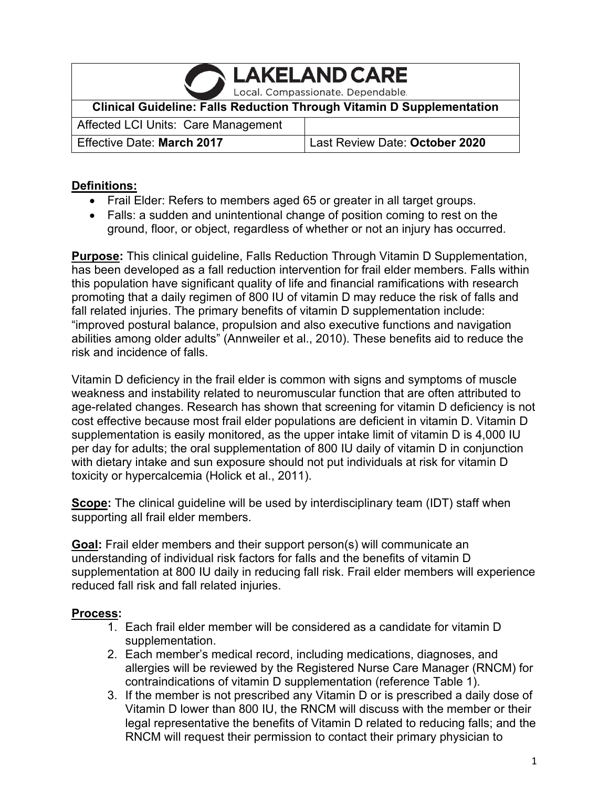**LAKELAND CARE** 

Local. Compassionate. Dependable.

**Clinical Guideline: Falls Reduction Through Vitamin D Supplementation**

Affected LCI Units: Care Management Effective Date: **March 2017** Last Review Date: **October 2020**

#### **Definitions:**

- Frail Elder: Refers to members aged 65 or greater in all target groups.
- Falls: a sudden and unintentional change of position coming to rest on the ground, floor, or object, regardless of whether or not an injury has occurred.

**Purpose:** This clinical guideline, Falls Reduction Through Vitamin D Supplementation, has been developed as a fall reduction intervention for frail elder members. Falls within this population have significant quality of life and financial ramifications with research promoting that a daily regimen of 800 IU of vitamin D may reduce the risk of falls and fall related injuries. The primary benefits of vitamin D supplementation include: "improved postural balance, propulsion and also executive functions and navigation abilities among older adults" (Annweiler et al., 2010). These benefits aid to reduce the risk and incidence of falls.

Vitamin D deficiency in the frail elder is common with signs and symptoms of muscle weakness and instability related to neuromuscular function that are often attributed to age-related changes. Research has shown that screening for vitamin D deficiency is not cost effective because most frail elder populations are deficient in vitamin D. Vitamin D supplementation is easily monitored, as the upper intake limit of vitamin D is 4,000 IU per day for adults; the oral supplementation of 800 IU daily of vitamin D in conjunction with dietary intake and sun exposure should not put individuals at risk for vitamin D toxicity or hypercalcemia (Holick et al., 2011).

**Scope:** The clinical guideline will be used by interdisciplinary team (IDT) staff when supporting all frail elder members.

**Goal:** Frail elder members and their support person(s) will communicate an understanding of individual risk factors for falls and the benefits of vitamin D supplementation at 800 IU daily in reducing fall risk. Frail elder members will experience reduced fall risk and fall related injuries.

### **Process:**

- 1. Each frail elder member will be considered as a candidate for vitamin D supplementation.
- 2. Each member's medical record, including medications, diagnoses, and allergies will be reviewed by the Registered Nurse Care Manager (RNCM) for contraindications of vitamin D supplementation (reference Table 1).
- 3. If the member is not prescribed any Vitamin D or is prescribed a daily dose of Vitamin D lower than 800 IU, the RNCM will discuss with the member or their legal representative the benefits of Vitamin D related to reducing falls; and the RNCM will request their permission to contact their primary physician to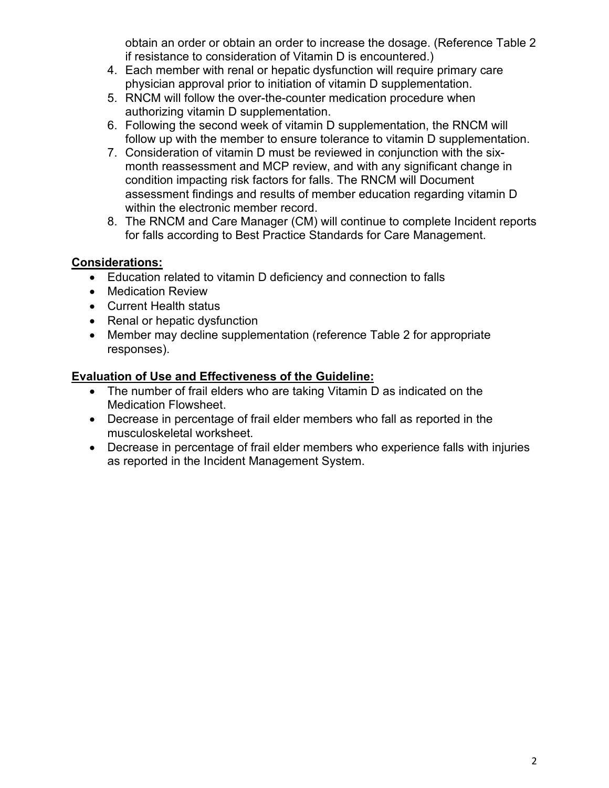obtain an order or obtain an order to increase the dosage. (Reference Table 2 if resistance to consideration of Vitamin D is encountered.)

- 4. Each member with renal or hepatic dysfunction will require primary care physician approval prior to initiation of vitamin D supplementation.
- 5. RNCM will follow the over-the-counter medication procedure when authorizing vitamin D supplementation.
- 6. Following the second week of vitamin D supplementation, the RNCM will follow up with the member to ensure tolerance to vitamin D supplementation.
- 7. Consideration of vitamin D must be reviewed in conjunction with the sixmonth reassessment and MCP review, and with any significant change in condition impacting risk factors for falls. The RNCM will Document assessment findings and results of member education regarding vitamin D within the electronic member record.
- 8. The RNCM and Care Manager (CM) will continue to complete Incident reports for falls according to Best Practice Standards for Care Management.

# **Considerations:**

- Education related to vitamin D deficiency and connection to falls
- Medication Review
- Current Health status
- Renal or hepatic dysfunction
- Member may decline supplementation (reference Table 2 for appropriate responses).

# **Evaluation of Use and Effectiveness of the Guideline:**

- The number of frail elders who are taking Vitamin D as indicated on the Medication Flowsheet.
- Decrease in percentage of frail elder members who fall as reported in the musculoskeletal worksheet.
- Decrease in percentage of frail elder members who experience falls with injuries as reported in the Incident Management System.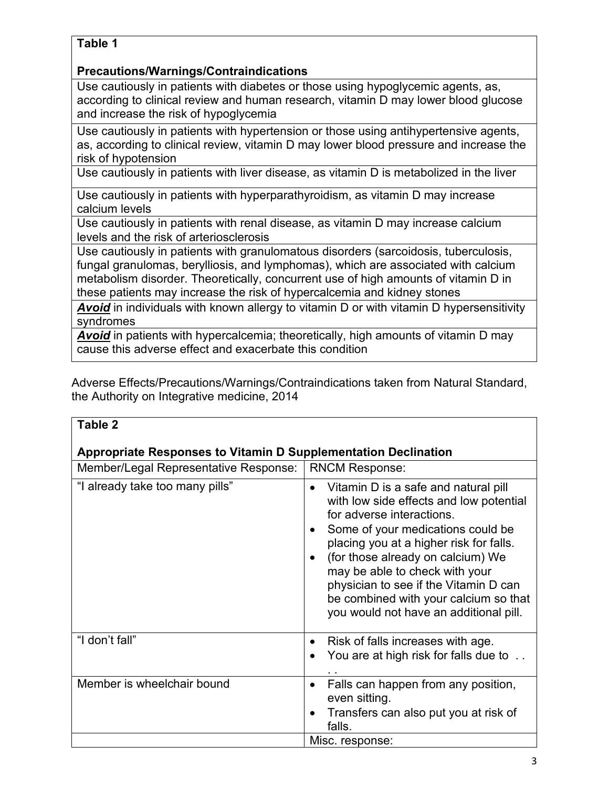### **Table 1**

### **Precautions/Warnings/Contraindications**

Use cautiously in patients with diabetes or those using hypoglycemic agents, as, according to clinical review and human research, vitamin D may lower blood glucose and increase the risk of hypoglycemia

Use cautiously in patients with hypertension or those using antihypertensive agents, as, according to clinical review, vitamin D may lower blood pressure and increase the risk of hypotension

Use cautiously in patients with liver disease, as vitamin D is metabolized in the liver

Use cautiously in patients with hyperparathyroidism, as vitamin D may increase calcium levels

Use cautiously in patients with renal disease, as vitamin D may increase calcium levels and the risk of arteriosclerosis

Use cautiously in patients with granulomatous disorders (sarcoidosis, tuberculosis, fungal granulomas, berylliosis, and lymphomas), which are associated with calcium metabolism disorder. Theoretically, concurrent use of high amounts of vitamin D in these patients may increase the risk of hypercalcemia and kidney stones

*Avoid* in individuals with known allergy to vitamin D or with vitamin D hypersensitivity syndromes

*Avoid* in patients with hypercalcemia; theoretically, high amounts of vitamin D may cause this adverse effect and exacerbate this condition

Adverse Effects/Precautions/Warnings/Contraindications taken from Natural Standard, the Authority on Integrative medicine, 2014

| Table 2                                                               |                                                                                                                                                                                                                                                                                                                                                                                                              |
|-----------------------------------------------------------------------|--------------------------------------------------------------------------------------------------------------------------------------------------------------------------------------------------------------------------------------------------------------------------------------------------------------------------------------------------------------------------------------------------------------|
|                                                                       |                                                                                                                                                                                                                                                                                                                                                                                                              |
| <b>Appropriate Responses to Vitamin D Supplementation Declination</b> |                                                                                                                                                                                                                                                                                                                                                                                                              |
| Member/Legal Representative Response:                                 | <b>RNCM Response:</b>                                                                                                                                                                                                                                                                                                                                                                                        |
| "I already take too many pills"                                       | Vitamin D is a safe and natural pill<br>with low side effects and low potential<br>for adverse interactions.<br>Some of your medications could be<br>placing you at a higher risk for falls.<br>(for those already on calcium) We<br>$\bullet$<br>may be able to check with your<br>physician to see if the Vitamin D can<br>be combined with your calcium so that<br>you would not have an additional pill. |
| "I don't fall"                                                        | Risk of falls increases with age.<br>$\bullet$<br>You are at high risk for falls due to                                                                                                                                                                                                                                                                                                                      |
| Member is wheelchair bound                                            | Falls can happen from any position,<br>even sitting.<br>Transfers can also put you at risk of<br>falls.                                                                                                                                                                                                                                                                                                      |
|                                                                       | Misc. response:                                                                                                                                                                                                                                                                                                                                                                                              |